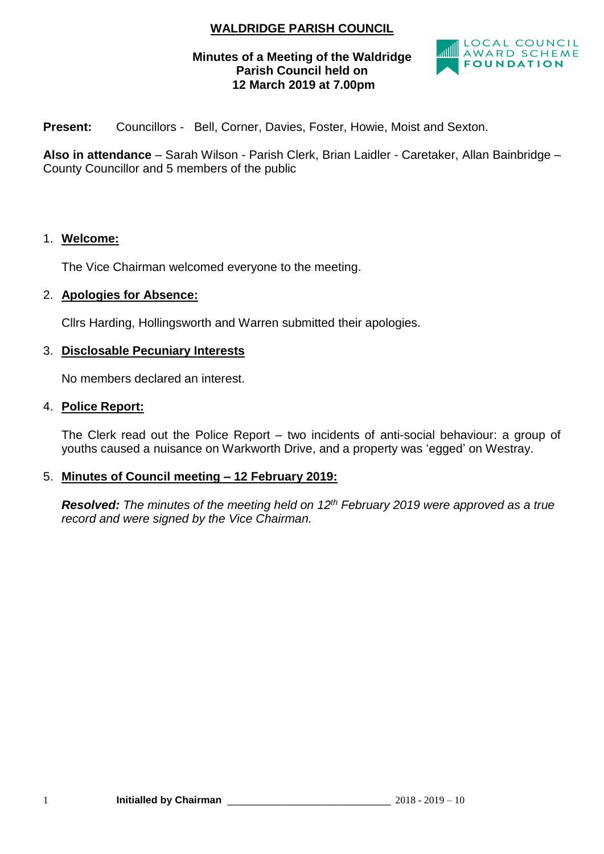# **WALDRIDGE PARISH COUNCIL**

## **Minutes of a Meeting of the Waldridge Parish Council held on 12 March 2019 at 7.00pm**



**Present:** Councillors - Bell, Corner, Davies, Foster, Howie, Moist and Sexton.

**Also in attendance** – Sarah Wilson - Parish Clerk, Brian Laidler - Caretaker, Allan Bainbridge – County Councillor and 5 members of the public

#### 1. **Welcome:**

The Vice Chairman welcomed everyone to the meeting.

#### 2. **Apologies for Absence:**

Cllrs Harding, Hollingsworth and Warren submitted their apologies.

#### 3. **Disclosable Pecuniary Interests**

No members declared an interest.

#### 4. **Police Report:**

The Clerk read out the Police Report – two incidents of anti-social behaviour: a group of youths caused a nuisance on Warkworth Drive, and a property was 'egged' on Westray.

## 5. **Minutes of Council meeting – 12 February 2019:**

*Resolved: The minutes of the meeting held on 12th February 2019 were approved as a true record and were signed by the Vice Chairman.*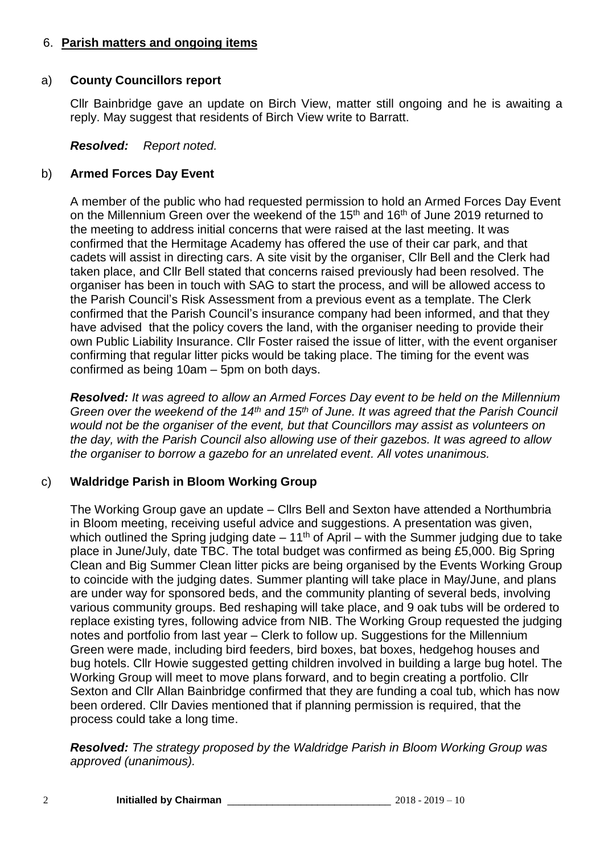#### 6. **Parish matters and ongoing items**

### a) **County Councillors report**

Cllr Bainbridge gave an update on Birch View, matter still ongoing and he is awaiting a reply. May suggest that residents of Birch View write to Barratt.

#### *Resolved: Report noted.*

### b) **Armed Forces Day Event**

A member of the public who had requested permission to hold an Armed Forces Day Event on the Millennium Green over the weekend of the 15<sup>th</sup> and 16<sup>th</sup> of June 2019 returned to the meeting to address initial concerns that were raised at the last meeting. It was confirmed that the Hermitage Academy has offered the use of their car park, and that cadets will assist in directing cars. A site visit by the organiser, Cllr Bell and the Clerk had taken place, and Cllr Bell stated that concerns raised previously had been resolved. The organiser has been in touch with SAG to start the process, and will be allowed access to the Parish Council's Risk Assessment from a previous event as a template. The Clerk confirmed that the Parish Council's insurance company had been informed, and that they have advised that the policy covers the land, with the organiser needing to provide their own Public Liability Insurance. Cllr Foster raised the issue of litter, with the event organiser confirming that regular litter picks would be taking place. The timing for the event was confirmed as being 10am – 5pm on both days.

*Resolved: It was agreed to allow an Armed Forces Day event to be held on the Millennium Green over the weekend of the 14th and 15th of June. It was agreed that the Parish Council would not be the organiser of the event, but that Councillors may assist as volunteers on the day, with the Parish Council also allowing use of their gazebos. It was agreed to allow the organiser to borrow a gazebo for an unrelated event. All votes unanimous.*

## c) **Waldridge Parish in Bloom Working Group**

The Working Group gave an update – Cllrs Bell and Sexton have attended a Northumbria in Bloom meeting, receiving useful advice and suggestions. A presentation was given, which outlined the Spring judging date  $-11<sup>th</sup>$  of April – with the Summer judging due to take place in June/July, date TBC. The total budget was confirmed as being £5,000. Big Spring Clean and Big Summer Clean litter picks are being organised by the Events Working Group to coincide with the judging dates. Summer planting will take place in May/June, and plans are under way for sponsored beds, and the community planting of several beds, involving various community groups. Bed reshaping will take place, and 9 oak tubs will be ordered to replace existing tyres, following advice from NIB. The Working Group requested the judging notes and portfolio from last year – Clerk to follow up. Suggestions for the Millennium Green were made, including bird feeders, bird boxes, bat boxes, hedgehog houses and bug hotels. Cllr Howie suggested getting children involved in building a large bug hotel. The Working Group will meet to move plans forward, and to begin creating a portfolio. Cllr Sexton and Cllr Allan Bainbridge confirmed that they are funding a coal tub, which has now been ordered. Cllr Davies mentioned that if planning permission is required, that the process could take a long time.

*Resolved: The strategy proposed by the Waldridge Parish in Bloom Working Group was approved (unanimous).*

2 **Initialled by Chairman** \_\_\_\_\_\_\_\_\_\_\_\_\_\_\_\_\_\_\_\_\_\_\_\_\_\_\_\_\_ 2018 - 2019 – 10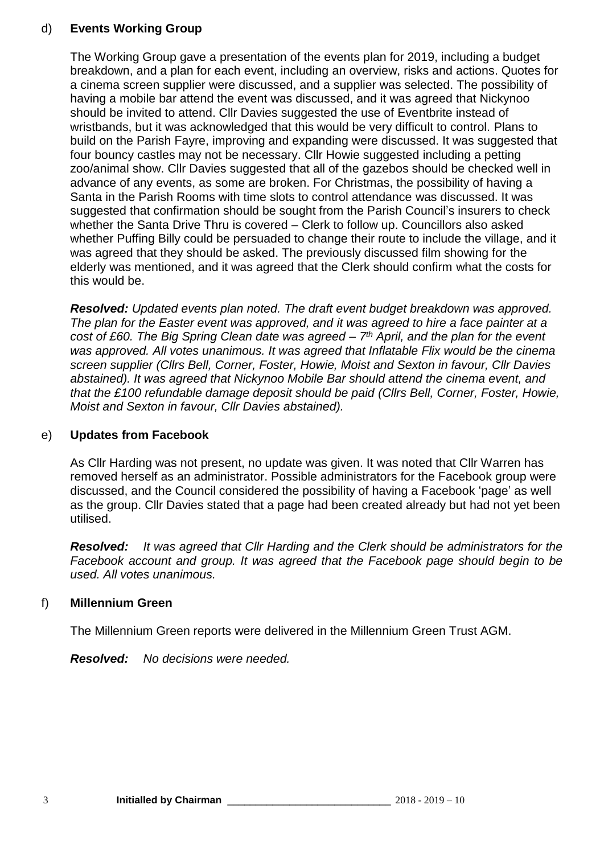## d) **Events Working Group**

The Working Group gave a presentation of the events plan for 2019, including a budget breakdown, and a plan for each event, including an overview, risks and actions. Quotes for a cinema screen supplier were discussed, and a supplier was selected. The possibility of having a mobile bar attend the event was discussed, and it was agreed that Nickynoo should be invited to attend. Cllr Davies suggested the use of Eventbrite instead of wristbands, but it was acknowledged that this would be very difficult to control. Plans to build on the Parish Fayre, improving and expanding were discussed. It was suggested that four bouncy castles may not be necessary. Cllr Howie suggested including a petting zoo/animal show. Cllr Davies suggested that all of the gazebos should be checked well in advance of any events, as some are broken. For Christmas, the possibility of having a Santa in the Parish Rooms with time slots to control attendance was discussed. It was suggested that confirmation should be sought from the Parish Council's insurers to check whether the Santa Drive Thru is covered – Clerk to follow up. Councillors also asked whether Puffing Billy could be persuaded to change their route to include the village, and it was agreed that they should be asked. The previously discussed film showing for the elderly was mentioned, and it was agreed that the Clerk should confirm what the costs for this would be.

*Resolved: Updated events plan noted. The draft event budget breakdown was approved. The plan for the Easter event was approved, and it was agreed to hire a face painter at a cost of £60. The Big Spring Clean date was agreed – 7 th April, and the plan for the event was approved. All votes unanimous. It was agreed that Inflatable Flix would be the cinema screen supplier (Cllrs Bell, Corner, Foster, Howie, Moist and Sexton in favour, Cllr Davies abstained). It was agreed that Nickynoo Mobile Bar should attend the cinema event, and that the £100 refundable damage deposit should be paid (Cllrs Bell, Corner, Foster, Howie, Moist and Sexton in favour, Cllr Davies abstained).*

## e) **Updates from Facebook**

As Cllr Harding was not present, no update was given. It was noted that Cllr Warren has removed herself as an administrator. Possible administrators for the Facebook group were discussed, and the Council considered the possibility of having a Facebook 'page' as well as the group. Cllr Davies stated that a page had been created already but had not yet been utilised.

*Resolved: It was agreed that Cllr Harding and the Clerk should be administrators for the Facebook account and group. It was agreed that the Facebook page should begin to be used. All votes unanimous.*

## f) **Millennium Green**

The Millennium Green reports were delivered in the Millennium Green Trust AGM.

*Resolved: No decisions were needed.*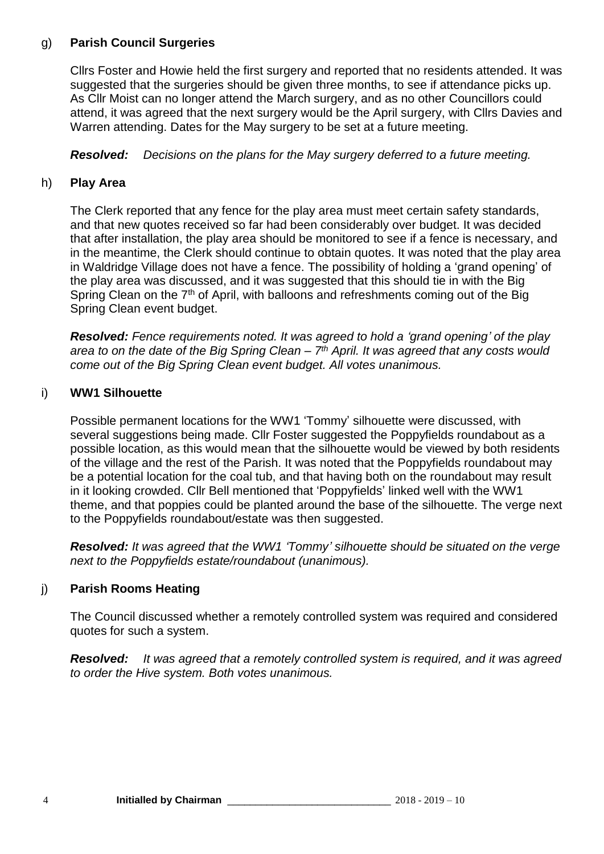## g) **Parish Council Surgeries**

Cllrs Foster and Howie held the first surgery and reported that no residents attended. It was suggested that the surgeries should be given three months, to see if attendance picks up. As Cllr Moist can no longer attend the March surgery, and as no other Councillors could attend, it was agreed that the next surgery would be the April surgery, with Cllrs Davies and Warren attending. Dates for the May surgery to be set at a future meeting.

*Resolved: Decisions on the plans for the May surgery deferred to a future meeting.*

## h) **Play Area**

The Clerk reported that any fence for the play area must meet certain safety standards, and that new quotes received so far had been considerably over budget. It was decided that after installation, the play area should be monitored to see if a fence is necessary, and in the meantime, the Clerk should continue to obtain quotes. It was noted that the play area in Waldridge Village does not have a fence. The possibility of holding a 'grand opening' of the play area was discussed, and it was suggested that this should tie in with the Big Spring Clean on the  $7<sup>th</sup>$  of April, with balloons and refreshments coming out of the Big Spring Clean event budget.

*Resolved: Fence requirements noted. It was agreed to hold a 'grand opening' of the play area to on the date of the Big Spring Clean – 7 th April. It was agreed that any costs would come out of the Big Spring Clean event budget. All votes unanimous.*

## i) **WW1 Silhouette**

Possible permanent locations for the WW1 'Tommy' silhouette were discussed, with several suggestions being made. Cllr Foster suggested the Poppyfields roundabout as a possible location, as this would mean that the silhouette would be viewed by both residents of the village and the rest of the Parish. It was noted that the Poppyfields roundabout may be a potential location for the coal tub, and that having both on the roundabout may result in it looking crowded. Cllr Bell mentioned that 'Poppyfields' linked well with the WW1 theme, and that poppies could be planted around the base of the silhouette. The verge next to the Poppyfields roundabout/estate was then suggested.

*Resolved: It was agreed that the WW1 'Tommy' silhouette should be situated on the verge next to the Poppyfields estate/roundabout (unanimous).*

## j) **Parish Rooms Heating**

The Council discussed whether a remotely controlled system was required and considered quotes for such a system.

*Resolved: It was agreed that a remotely controlled system is required, and it was agreed to order the Hive system. Both votes unanimous.*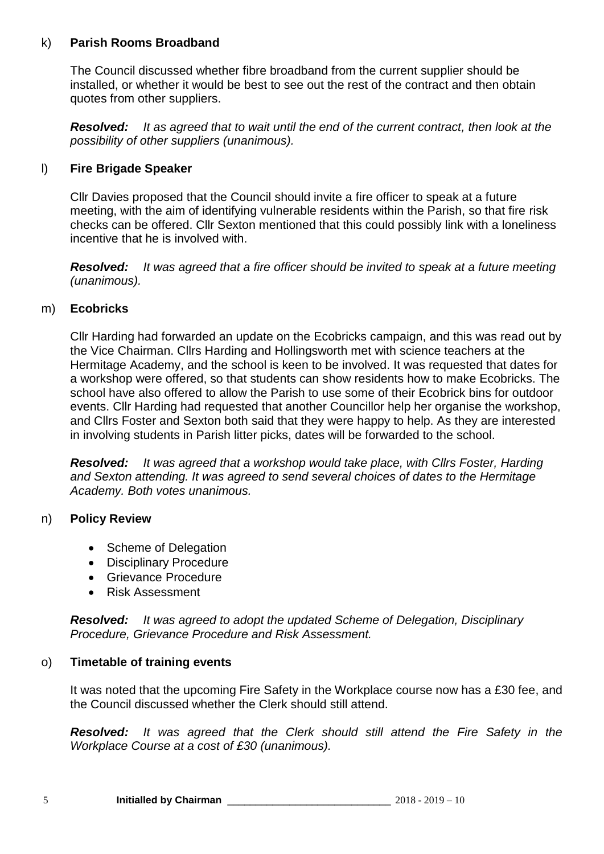#### k) **Parish Rooms Broadband**

The Council discussed whether fibre broadband from the current supplier should be installed, or whether it would be best to see out the rest of the contract and then obtain quotes from other suppliers.

*Resolved: It as agreed that to wait until the end of the current contract, then look at the possibility of other suppliers (unanimous).*

#### l) **Fire Brigade Speaker**

Cllr Davies proposed that the Council should invite a fire officer to speak at a future meeting, with the aim of identifying vulnerable residents within the Parish, so that fire risk checks can be offered. Cllr Sexton mentioned that this could possibly link with a loneliness incentive that he is involved with.

*Resolved: It was agreed that a fire officer should be invited to speak at a future meeting (unanimous).*

#### m) **Ecobricks**

Cllr Harding had forwarded an update on the Ecobricks campaign, and this was read out by the Vice Chairman. Cllrs Harding and Hollingsworth met with science teachers at the Hermitage Academy, and the school is keen to be involved. It was requested that dates for a workshop were offered, so that students can show residents how to make Ecobricks. The school have also offered to allow the Parish to use some of their Ecobrick bins for outdoor events. Cllr Harding had requested that another Councillor help her organise the workshop, and Cllrs Foster and Sexton both said that they were happy to help. As they are interested in involving students in Parish litter picks, dates will be forwarded to the school.

*Resolved: It was agreed that a workshop would take place, with Cllrs Foster, Harding and Sexton attending. It was agreed to send several choices of dates to the Hermitage Academy. Both votes unanimous.*

#### n) **Policy Review**

- Scheme of Delegation
- Disciplinary Procedure
- Grievance Procedure
- Risk Assessment

*Resolved: It was agreed to adopt the updated Scheme of Delegation, Disciplinary Procedure, Grievance Procedure and Risk Assessment.* 

#### o) **Timetable of training events**

It was noted that the upcoming Fire Safety in the Workplace course now has a £30 fee, and the Council discussed whether the Clerk should still attend.

*Resolved: It was agreed that the Clerk should still attend the Fire Safety in the Workplace Course at a cost of £30 (unanimous).*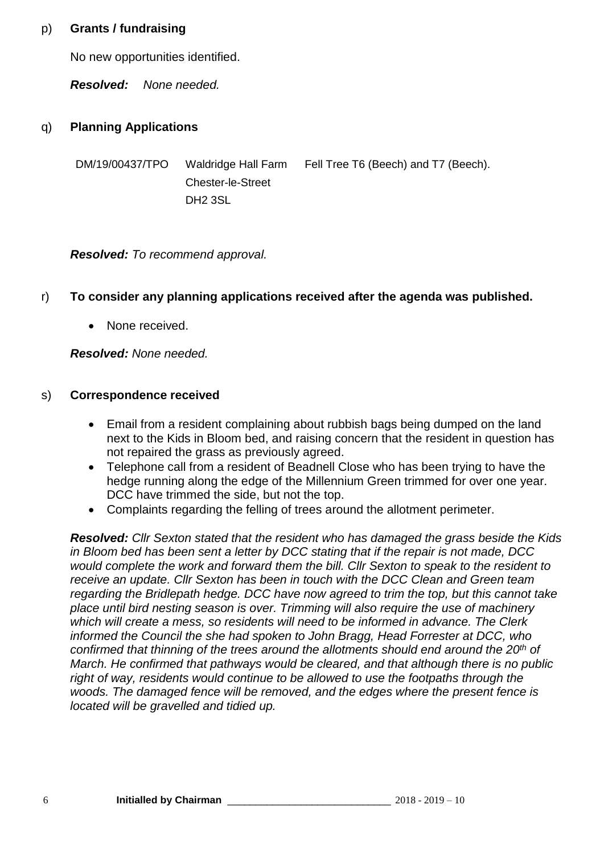### p) **Grants / fundraising**

No new opportunities identified.

*Resolved: None needed.*

## q) **Planning Applications**

DM/19/00437/TPO Waldridge Hall Farm Chester-le-Street DH2 3SL

Fell Tree T6 (Beech) and T7 (Beech).

*Resolved: To recommend approval.*

## r) **To consider any planning applications received after the agenda was published.**

• None received.

*Resolved: None needed.*

## s) **Correspondence received**

- Email from a resident complaining about rubbish bags being dumped on the land next to the Kids in Bloom bed, and raising concern that the resident in question has not repaired the grass as previously agreed.
- Telephone call from a resident of Beadnell Close who has been trying to have the hedge running along the edge of the Millennium Green trimmed for over one year. DCC have trimmed the side, but not the top.
- Complaints regarding the felling of trees around the allotment perimeter.

*Resolved: Cllr Sexton stated that the resident who has damaged the grass beside the Kids in Bloom bed has been sent a letter by DCC stating that if the repair is not made, DCC would complete the work and forward them the bill. Cllr Sexton to speak to the resident to receive an update. Cllr Sexton has been in touch with the DCC Clean and Green team regarding the Bridlepath hedge. DCC have now agreed to trim the top, but this cannot take place until bird nesting season is over. Trimming will also require the use of machinery which will create a mess, so residents will need to be informed in advance. The Clerk informed the Council the she had spoken to John Bragg, Head Forrester at DCC, who confirmed that thinning of the trees around the allotments should end around the 20th of March. He confirmed that pathways would be cleared, and that although there is no public right of way, residents would continue to be allowed to use the footpaths through the woods. The damaged fence will be removed, and the edges where the present fence is located will be gravelled and tidied up.*